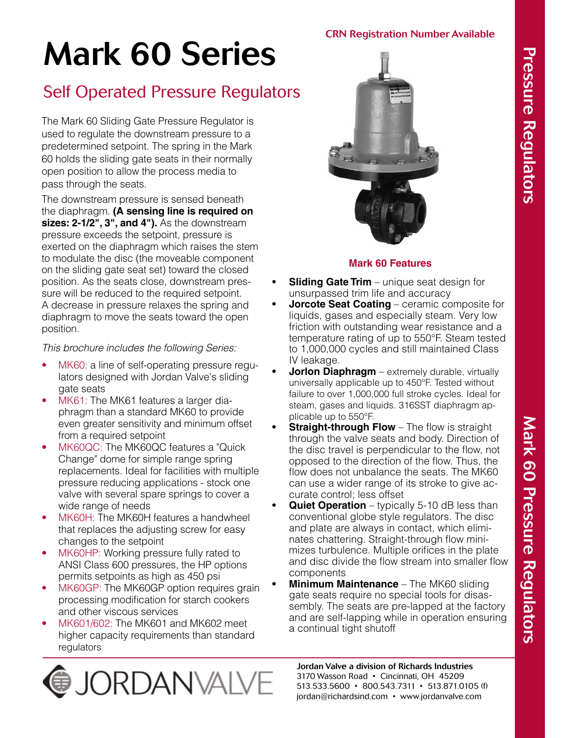#### CRN Registration Number Available

# Mark 60 Series

# Self Operated Pressure Regulators

The Mark 60 Sliding Gate Pressure Regulator is used to regulate the downstream pressure to a predetermined setpoint. The spring in the Mark 60 holds the sliding gate seats in their normally open position to allow the process media to pass through the seats.

The downstream pressure is sensed beneath the diaphragm. **(A sensing line is required on sizes: 2-1/2", 3", and 4").** As the downstream pressure exceeds the setpoint, pressure is exerted on the diaphragm which raises the stem to modulate the disc (the moveable component on the sliding gate seat set) toward the closed position. As the seats close, downstream pressure will be reduced to the required setpoint. A decrease in pressure relaxes the spring and diaphragm to move the seats toward the open position.

*This brochure includes the following Series:*

- MK60: a line of self-operating pressure regulators designed with Jordan Valve's sliding gate seats
- MK61: The MK61 features a larger diaphragm than a standard MK60 to provide even greater sensitivity and minimum offset from a required setpoint
- MK60QC: The MK60QC features a "Quick Change" dome for simple range spring replacements. Ideal for facilities with multiple pressure reducing applications - stock one valve with several spare springs to cover a wide range of needs
- MK60H: The MK60H features a handwheel that replaces the adjusting screw for easy changes to the setpoint
- MK60HP: Working pressure fully rated to ANSI Class 600 pressures, the HP options permits setpoints as high as 450 psi
- MK60GP: The MK60GP option requires grain processing modification for starch cookers and other viscous services
- MK601/602: The MK601 and MK602 meet higher capacity requirements than standard regulators





#### **Mark 60 Features**

- **Sliding Gate Trim** unique seat design for unsurpassed trim life and accuracy
- **• Jorcote Seat Coating** ceramic composite for liquids, gases and especially steam. Very low friction with outstanding wear resistance and a temperature rating of up to 550°F. Steam tested to 1,000,000 cycles and still maintained Class IV leakage.
- **Jorlon Diaphragm** extremely durable, virtually universally applicable up to 450°F. Tested without failure to over 1,000,000 full stroke cycles. Ideal for steam, gases and liquids. 316SST diaphragm applicable up to 550°F.
- **Straight-through Flow** The flow is straight through the valve seats and body. Direction of the disc travel is perpendicular to the flow, not opposed to the direction of the flow. Thus, the flow does not unbalance the seats. The MK60 can use a wider range of its stroke to give accurate control; less offset
- **Quiet Operation** typically 5-10 dB less than conventional globe style regulators. The disc and plate are always in contact, which eliminates chattering. Straight-through flow minimizes turbulence. Multiple orifices in the plate and disc divide the flow stream into smaller flow components
- **• Minimum Maintenance** The MK60 sliding gate seats require no special tools for disassembly. The seats are pre-lapped at the factory and are self-lapping while in operation ensuring a continual tight shutoff

Jordan Valve a division of Richards Industries 3170 Wasson Road • Cincinnati, OH 45209 513.533.5600 • 800.543.7311 • 513.871.0105 (f) jordan@richardsind.com • www.jordanvalve.com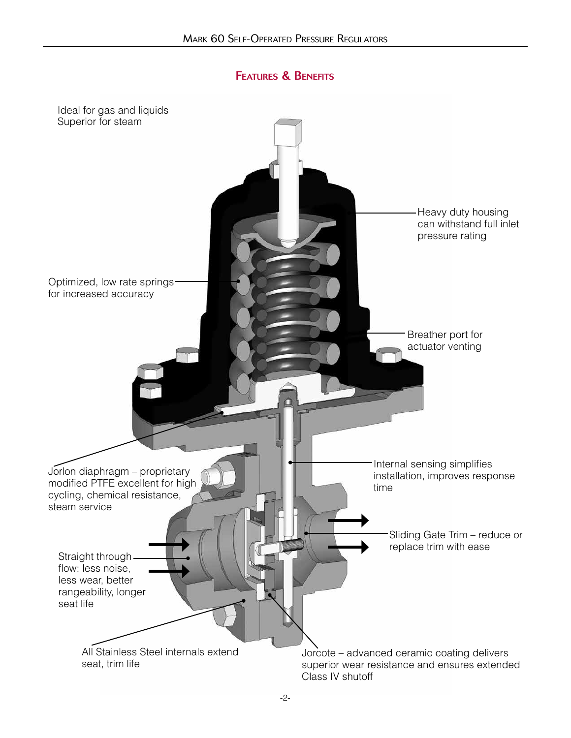# Features & Benefits

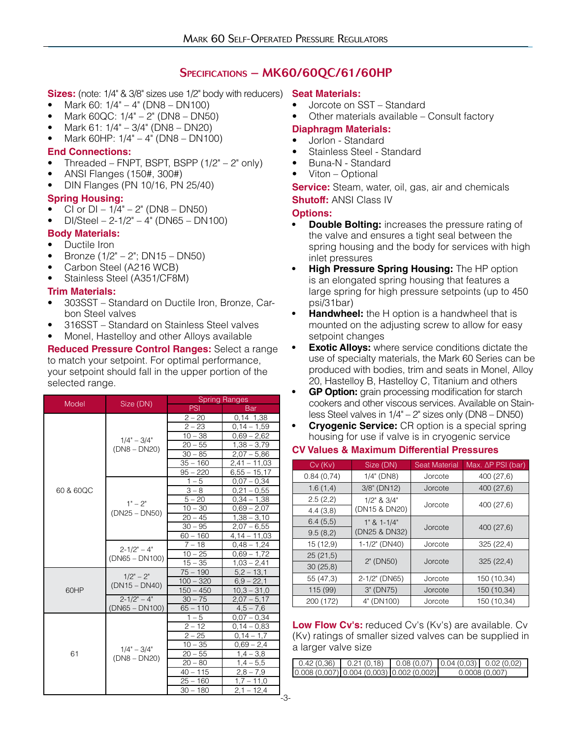#### Specifications – MK60/60QC/61/60HP

- Sizes: (note: 1/4" & 3/8" sizes use 1/2" body with reducers) Seat Materials:
- Mark 60: 1/4" 4" (DN8 DN100)
- Mark 60QC: 1/4" 2" (DN8 DN50)
- Mark 61: 1/4" 3/4" (DN8 DN20)
- Mark 60HP:  $1/4 4$ <sup>"</sup> (DN8 DN100)

#### **End Connections:**

- Threaded FNPT, BSPT, BSPP  $(1/2" 2"$  only)
- ANSI Flanges (150#, 300#)
- DIN Flanges (PN 10/16, PN 25/40)

#### **Spring Housing:**

- CI or  $DI 1/4" 2"$  (DN8 DN50)
- $DI/Steel 2-1/2" 4" (DN65 DN100)$

#### **Body Materials:**

- Ductile Iron
- Bronze (1/2" 2"; DN15 DN50)
- Carbon Steel (A216 WCB)
- Stainless Steel (A351/CF8M)

#### **Trim Materials:**

- 303SST Standard on Ductile Iron, Bronze, Carbon Steel valves
- 316SST Standard on Stainless Steel valves
- Monel, Hastelloy and other Alloys available

**Reduced Pressure Control Ranges:** Select a range to match your setpoint. For optimal performance, your setpoint should fall in the upper portion of the selected range.

| Model     |                                     | <b>Spring Ranges</b> |                |  |  |
|-----------|-------------------------------------|----------------------|----------------|--|--|
|           | Size (DN)                           | PSI                  | Bar            |  |  |
|           |                                     | $2 - 20$             | $0,14$ 1,38    |  |  |
|           |                                     | $2 - 23$             | $0,14 - 1,59$  |  |  |
|           | $1/4" - 3/4"$                       | $10 - 38$            | $0.69 - 2.62$  |  |  |
|           | $(DN8 - DN20)$                      | $20 - 55$            | $1,38 - 3,79$  |  |  |
|           |                                     | $30 - 85$            | $2.07 - 5.86$  |  |  |
|           |                                     | $35 - 160$           | $2,41 - 11,03$ |  |  |
|           |                                     | $95 - 220$           | $6,55 - 15,17$ |  |  |
|           |                                     | $1 - 5$              | $0.07 - 0.34$  |  |  |
| 60 & 60QC |                                     | $3 - 8$              | $0,21 - 0,55$  |  |  |
|           | $1" - 2"$                           | $5 - 20$             | $0.34 - 1.38$  |  |  |
|           |                                     | $10 - 30$            | $0,69 - 2,07$  |  |  |
|           | $(DN25 - DN50)$                     | $20 - 45$            | $1,38 - 3,10$  |  |  |
|           |                                     | $30 - 95$            | $2,07 - 6,55$  |  |  |
|           |                                     | $60 - 160$           | $4,14 - 11,03$ |  |  |
|           | $2 - 1/2" - 4"$<br>$(DN65 - DN100)$ | $7 - 18$             | $0.48 - 1.24$  |  |  |
|           |                                     | $10 - 25$            | $0.69 - 1.72$  |  |  |
|           |                                     | $15 - 35$            | $1,03 - 2,41$  |  |  |
|           | $1/2" - 2"$                         | $75 - 190$           | $5,2 - 13,1$   |  |  |
|           |                                     | $100 - 320$          | $6,9 - 22,1$   |  |  |
| 60HP      | $(DN15 - DN40)$                     | $150 - 450$          | $10,3 - 31,0$  |  |  |
|           | $2 - 1/2" - 4"$                     | $30 - 75$            | $2,07 - 5,17$  |  |  |
|           | (DN65 - DN100)                      | $65 - 110$           | $4.5 - 7.6$    |  |  |
|           |                                     | $1 - 5$              | $0.07 - 0.34$  |  |  |
|           |                                     | $2 - 12$             | $0,14 - 0.83$  |  |  |
|           |                                     | $2 - 25$             | $0,14 - 1,7$   |  |  |
|           |                                     | $10 - 35$            | $0.69 - 2.4$   |  |  |
| 61        | $1/4" - 3/4"$<br>$(DN8 - DN20)$     | $20 - 55$            | $1,4 - 3,8$    |  |  |
|           |                                     | $20 - 80$            | $1,4-5,5$      |  |  |
|           |                                     | $40 - 115$           | $2,8 - 7,9$    |  |  |
|           |                                     | $25 - 160$           | $1,7 - 11,0$   |  |  |
|           |                                     | $30 - 180$           | $2,1 - 12,4$   |  |  |

- Jorcote on SST Standard
- Other materials available Consult factory

#### **Diaphragm Materials:**

- Jorlon Standard
- Stainless Steel Standard
- Buna-N Standard
- Viton Optional

**Service:** Steam, water, oil, gas, air and chemicals **Shutoff:** ANSI Class IV

#### **Options:**

- **• Double Bolting:** increases the pressure rating of the valve and ensures a tight seal between the spring housing and the body for services with high inlet pressures
- **• High Pressure Spring Housing:** The HP option is an elongated spring housing that features a large spring for high pressure setpoints (up to 450 psi/31bar)
- **• Handwheel:** the H option is a handwheel that is mounted on the adjusting screw to allow for easy setpoint changes
- **Exotic Alloys:** where service conditions dictate the use of specialty materials, the Mark 60 Series can be produced with bodies, trim and seats in Monel, Alloy 20, Hastelloy B, Hastelloy C, Titanium and others
- **• GP Option:** grain processing modification for starch cookers and other viscous services. Available on Stainless Steel valves in 1/4" – 2" sizes only (DN8 – DN50)
- **• Cryogenic Service:** CR option is a special spring housing for use if valve is in cryogenic service

#### **CV Values & Maximum Differential Pressures**

| $Cv$ ( $Kv$ ) | Size (DN)         | <b>Seat Material</b> | Max. $\Delta P$ PSI (bar) |  |
|---------------|-------------------|----------------------|---------------------------|--|
| 0.84(0.74)    | $1/4$ " (DN8)     | Jorcote              | 400 (27,6)                |  |
| 1.6(1,4)      | 3/8" (DN12)       | Jorcote              | 400 (27,6)                |  |
| 2.5(2,2)      | $1/2$ " & $3/4$ " | Jorcote              | 400 (27,6)                |  |
| 4.4(3,8)      | (DN15 & DN20)     |                      |                           |  |
| 6.4(5,5)      | $1" 8 1 - 1/4"$   | Jorcote              | 400 (27,6)                |  |
| 9.5(8,2)      | (DN25 & DN32)     |                      |                           |  |
| 15(12.9)      | 1-1/2" (DN40)     | Jorcote              | 325(22,4)                 |  |
| 25(21,5)      | 2" (DN50)         |                      |                           |  |
| 30(25,8)      |                   | Jorcote              | 325(22,4)                 |  |
| 55 (47,3)     | 2-1/2" (DN65)     | Jorcote              | 150 (10,34)               |  |
| 115 (99)      | 3" (DN75)         | Jorcote              | 150 (10,34)               |  |
| 200 (172)     | 4" (DN100)        | Jorcote              | 150 (10,34)               |  |

**Low Flow Cv's:** reduced Cv's (Kv's) are available. Cv (Kv) ratings of smaller sized valves can be supplied in a larger valve size

|  | $0.42(0.36)$ 0.21 (0.18) 0.08 (0.07) 0.04 (0.03) 0.02 (0.02) |  |               |
|--|--------------------------------------------------------------|--|---------------|
|  | $[0.008(0,007)]0.004(0,003)]0.002(0,002)$                    |  | 0.0008(0.007) |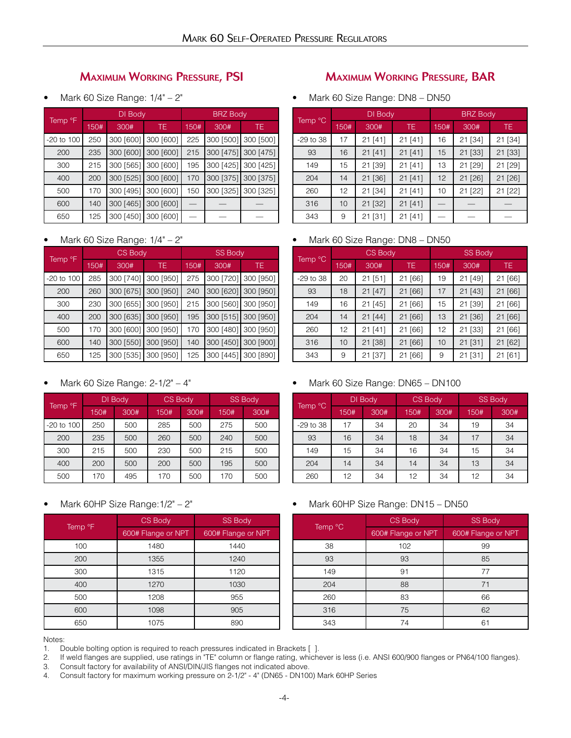# Maximum Working Pressure, PSI

• Mark 60 Size Range: 1/4" – 2"

|                     |      | DI Body   |                     |      | <b>BRZ Body</b> |                     |  |
|---------------------|------|-----------|---------------------|------|-----------------|---------------------|--|
| Temp <sup>o</sup> F | 150# | 300#      | TE.                 | 150# | 300#            | TE.                 |  |
| $-20$ to $100$      | 250  |           | 300 [600] 300 [600] | 225  |                 | 300 [500] 300 [500] |  |
| 200                 | 235  | 300 [600] | 300 [600]           | 215  | 300 [475]       | 300 [475]           |  |
| 300                 | 215  | 300 [565] | 300 [600]           | 195  | 300 [425]       | 300 [425]           |  |
| 400                 | 200  | 300 [525] | 300 [600]           | 170  | 300 [375]       | 300 [375]           |  |
| 500                 | 170  | 300 [495] | 300 [600]           | 150  | 300 [325]       | 300 [325]           |  |
| 600                 | 140  | 300 [465] | 300 [600]           |      |                 |                     |  |
| 650                 | 125  | 300 [450] | 300 [600]           |      |                 |                     |  |

• Mark 60 Size Range: 1/4" – 2"

|                     | CS Body |           |           | <b>SS Body</b> |           |           |
|---------------------|---------|-----------|-----------|----------------|-----------|-----------|
| Temp <sup>o</sup> F | 150#    | 300#      | TE        | 150#           | 300#      | TE.       |
| $-20$ to $100$      | 285     | 300 [740] | 300 [950] | 275            | 300 [720] | 300 [950] |
| 200                 | 260     | 300 [675] | 300 [950] | 240            | 300 [620] | 300 [950] |
| 300                 | 230     | 300 [655] | 300 [950] | 215            | 300 [560] | 300 [950] |
| 400                 | 200     | 300 [635] | 300 [950] | 195            | 300 [515] | 300 [950] |
| 500                 | 170     | 300 [600] | 300 [950] | 170            | 300 [480] | 300 [950] |
| 600                 | 140     | 300 [550] | 300 [950] | 140            | 300 [450] | 300 [900] |
| 650                 | 125     | 300 [535] | 300 [950] | 125            | 300 [445] | 300 [890] |

#### • Mark 60 Size Range:  $2-1/2$ " –  $4$ "

|                     | DI Body |      | <b>CS Body</b> |      | <b>SS Body</b> |      |
|---------------------|---------|------|----------------|------|----------------|------|
| Temp <sup>o</sup> F | 150#    | 300# | 150#           | 300# | 150#           | 300# |
| $-20$ to 100        | 250     | 500  | 285            | 500  | 275            | 500  |
| 200                 | 235     | 500  | 260            | 500  | 240            | 500  |
| 300                 | 215     | 500  | 230            | 500  | 215            | 500  |
| 400                 | 200     | 500  | 200            | 500  | 195            | 500  |
| 500                 | 170     | 495  | 170            | 500  | 170            | 500  |

#### • Mark 60HP Size Range:1/2" – 2"

|                     | <b>CS Body</b>     | <b>SS Body</b>     |
|---------------------|--------------------|--------------------|
| Temp <sup>o</sup> F | 600# Flange or NPT | 600# Flange or NPT |
| 100                 | 1480               | 1440               |
| 200                 | 1355               | 1240               |
| 300                 | 1315               | 1120               |
| 400                 | 1270               | 1030               |
| 500                 | 1208               | 955                |
| 600                 | 1098               | 905                |
| 650                 | 1075               | 890                |

### Maximum Working Pressure, BAR

• Mark 60 Size Range: DN8 - DN50

|             | DI Body |           |           | <b>BRZ Body</b> |               |         |
|-------------|---------|-----------|-----------|-----------------|---------------|---------|
| Temp °C     | 150#    | 300#      | TE.       | 150#            | 300#          | TE.     |
| $-29$ to 38 | 17      | 21 [41]   | 21 [41]   | 16              | 21 [34]       | 21 [34] |
| 93          | 16      | 21 [41]   | 21 [41]   | 15              | 21 [33]       | 21 [33] |
| 149         | 15      | 21 [39]   | $21$ [41] | 13              | 21 [29]       | 21 [29] |
| 204         | 14      | 21 [36]   | 21 [41]   | 12              | $21$ [ $26$ ] | 21 [26] |
| 260         | 12      | 21 [34]   | 21 [41]   | 10              | $21$ [22]     | 21 [22] |
| 316         | 10      | 21 [32]   | 21 [41]   |                 |               |         |
| 343         | 9       | $21$ [31] | 21 [41]   |                 |               |         |

#### • Mark 60 Size Range: DN8 – DN50

|           | CS Body |         |         | <b>SS Body</b> |           |         |
|-----------|---------|---------|---------|----------------|-----------|---------|
| Temp °C   | 150#    | 300#    | TE.     | 150#           | 300#      | TE.     |
| -29 to 38 | 20      | 21 [51] | 21 [66] | 19             | 21 [49]   | 21 [66] |
| 93        | 18      | 21 [47] | 21 [66] | 17             | $21$ [43] | 21 [66] |
| 149       | 16      | 21 [45] | 21 [66] | 15             | 21 [39]   | 21 [66] |
| 204       | 14      | 21 [44] | 21 [66] | 13             | 21 [36]   | 21 [66] |
| 260       | 12      | 21 [41] | 21 [66] | 12             | 21 [33]   | 21 [66] |
| 316       | 10      | 21 [38] | 21 [66] | 10             | 21 [31]   | 21 [62] |
| 343       | 9       | 21 [37] | 21 [66] | 9              | 21 [31]   | 21 [61] |

#### • Mark 60 Size Range: DN65 - DN100

|             | DI Body |      | <b>CS Body</b> |      | <b>SS Body</b> |      |
|-------------|---------|------|----------------|------|----------------|------|
| Temp °C     | 150#    | 300# | 150#           | 300# | 150#           | 300# |
| $-29$ to 38 | 17      | 34   | 20             | 34   | 19             | 34   |
| 93          | 16      | 34   | 18             | 34   | 17             | 34   |
| 149         | 15      | 34   | 16             | 34   | 15             | 34   |
| 204         | 14      | 34   | 14             | 34   | 13             | 34   |
| 260         | 12      | 34   | 12             | 34   | 12             | 34   |

#### • Mark 60HP Size Range: DN15 – DN50

|         | CS Body            | <b>SS Body</b>     |
|---------|--------------------|--------------------|
| Temp °C | 600# Flange or NPT | 600# Flange or NPT |
| 38      | 102                | 99                 |
| 93      | 93                 | 85                 |
| 149     | 91                 | 77                 |
| 204     | 88                 | 71                 |
| 260     | 83                 | 66                 |
| 316     | 75                 | 62                 |
| 343     | 74                 |                    |

1. Double bolting option is required to reach pressures indicated in Brackets [ ].

2. If weld flanges are supplied, use ratings in "TE" column or flange rating, whichever is less (i.e. ANSI 600/900 flanges or PN64/100 flanges).

3. Consult factory for availability of ANSI/DIN/JIS flanges not indicated above.

4. Consult factory for maximum working pressure on 2-1/2" - 4" (DN65 - DN100) Mark 60HP Series

Notes: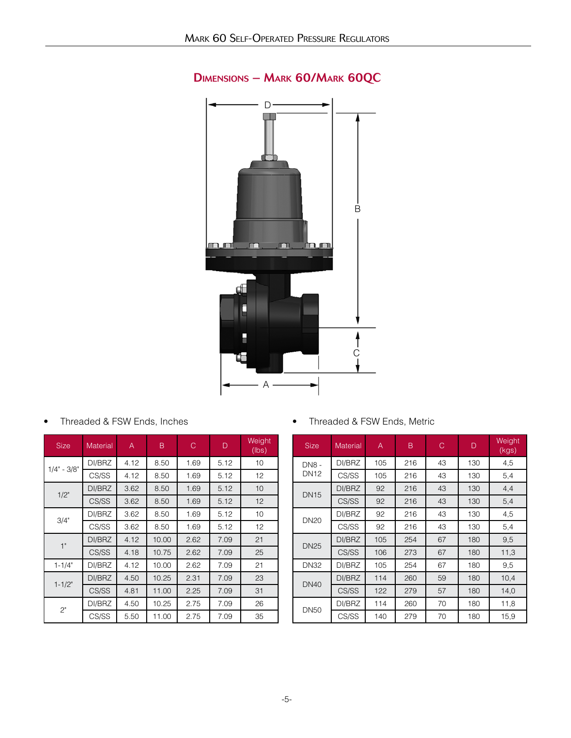

# Dimensions – Mark 60/Mark 60QC

• Threaded & FSW Ends, Inches

| <b>Size</b>   | <b>Material</b> | Α    | B     | С    | D    | Weight<br>(lbs) |
|---------------|-----------------|------|-------|------|------|-----------------|
| $1/4" - 3/8"$ | DI/BRZ          | 4.12 | 8.50  | 1.69 | 5.12 | 10              |
|               | CS/SS           | 4.12 | 8.50  | 1.69 | 5.12 | 12 <sup>°</sup> |
| 1/2"          | DI/BRZ          | 3.62 | 8.50  | 1.69 | 5.12 | 10              |
|               | CS/SS           | 3.62 | 8.50  | 1.69 | 5.12 | 12              |
| 3/4"          | DI/BRZ          | 3.62 | 8.50  | 1.69 | 5.12 | 10              |
|               | CS/SS           | 3.62 | 8.50  | 1.69 | 5.12 | 12              |
| 1"            | DI/BRZ          | 4.12 | 10.00 | 2.62 | 7.09 | 21              |
|               | CS/SS           | 4.18 | 10.75 | 2.62 | 7.09 | 25              |
| $1 - 1/4"$    | DI/BRZ          | 4.12 | 10.00 | 2.62 | 7.09 | 21              |
| $1 - 1/2"$    | DI/BRZ          | 4.50 | 10.25 | 2.31 | 7.09 | 23              |
|               | CS/SS           | 4.81 | 11.00 | 2.25 | 7.09 | 31              |
| 2"            | DI/BRZ          | 4.50 | 10.25 | 2.75 | 7.09 | 26              |
|               | CS/SS           | 5.50 | 11.00 | 2.75 | 7.09 | 35              |

• Threaded & FSW Ends, Metric

| <b>Size</b>  | B<br><b>Material</b><br>Α |     | С   | D  | Weight<br>(kgs) |      |
|--------------|---------------------------|-----|-----|----|-----------------|------|
| <b>DN8 -</b> | DI/BRZ                    | 105 | 216 | 43 | 130             | 4,5  |
| <b>DN12</b>  | CS/SS                     | 105 | 216 | 43 | 130             | 5,4  |
| <b>DN15</b>  | DI/BRZ                    | 92  | 216 | 43 | 130             | 4,4  |
|              | CS/SS                     | 92  | 216 | 43 | 130             | 5,4  |
| <b>DN20</b>  | DI/BRZ                    | 92  | 216 | 43 | 130             | 4,5  |
|              | CS/SS                     | 92  | 216 | 43 | 130             | 5,4  |
| <b>DN25</b>  | DI/BRZ                    | 105 | 254 | 67 | 180             | 9,5  |
|              | CS/SS                     | 106 | 273 | 67 | 180             | 11,3 |
| <b>DN32</b>  | DI/BRZ                    | 105 | 254 | 67 | 180             | 9,5  |
| <b>DN40</b>  | DI/BRZ                    | 114 | 260 | 59 | 180             | 10,4 |
|              | CS/SS                     | 122 | 279 | 57 | 180             | 14,0 |
| <b>DN50</b>  | DI/BRZ                    | 114 | 260 | 70 | 180             | 11,8 |
|              | CS/SS                     | 140 | 279 | 70 | 180             | 15,9 |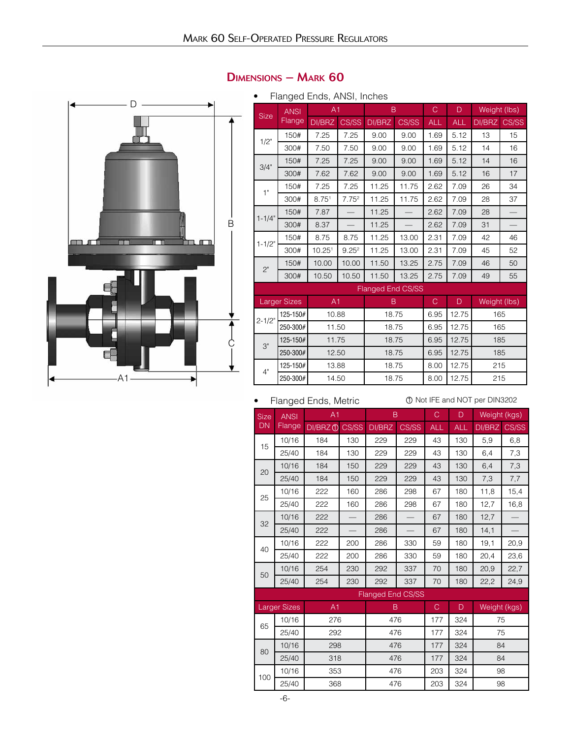

# Dimensions – Mark 60

• Flanged Ends, ANSI, Inches

|             | <b>ANSI</b>         | A <sub>1</sub>     |                   | B                        |                       | C          | D          | Weight (lbs) |                 |
|-------------|---------------------|--------------------|-------------------|--------------------------|-----------------------|------------|------------|--------------|-----------------|
| <b>Size</b> | Flange              | DI/BRZ             | CS/SS             | DI/BRZ                   | CS/SS                 | <b>ALL</b> | <b>ALL</b> | DI/BRZ       | CS/SS           |
| 1/2"        | 150#                | 7.25               | 7.25              | 9.00                     | 9.00                  | 1.69       | 5.12       | 13           | 15              |
|             | 300#                | 7.50               | 7.50              | 9.00                     | 9.00                  | 1.69       | 5.12       | 14           | 16              |
| 3/4"        | 150#                | 7.25               | 7.25              | 9.00                     | 9.00                  | 1.69       | 5.12       | 14           | 16              |
|             | 300#                | 7.62               | 7.62              | 9.00                     | 9.00                  | 1.69       | 5.12       | 16           | 17              |
| 1"          | 150#                | 7.25               | 7.25              | 11.25                    | 11.75                 | 2.62       | 7.09       | 26           | 34              |
|             | 300#                | 8.75 <sup>1</sup>  | 7.75 <sup>2</sup> | 11.25                    | 11.75                 | 2.62       | 7.09       | 28           | 37              |
| $1 - 1/4"$  | 150#                | 7.87               |                   | 11.25                    |                       | 2.62       | 7.09       | 28           |                 |
|             | 300#                | 8.37               | $\equiv$          | 11.25                    |                       | 2.62       | 7.09       | 31           | $\qquad \qquad$ |
| $1 - 1/2"$  | 150#                | 8.75               | 8.75              | 11.25                    | 13.00                 | 2.31       | 7.09       | 42           | 46              |
|             | 300#                | 10.25 <sup>1</sup> | 9.25 <sup>2</sup> | 11.25                    | 13.00                 | 2.31       | 7.09       | 45           | 52              |
| $2^{\circ}$ | 150#                | 10.00              | 10.00             | 11.50                    | 13.25<br>2.75<br>7.09 |            | 46         | 50           |                 |
|             | 300#                | 10.50              | 10.50             | 11.50                    | 13.25                 | 2.75       | 7.09       | 49           | 55              |
|             |                     |                    |                   | <b>Flanged End CS/SS</b> |                       |            |            |              |                 |
|             | <b>Larger Sizes</b> | A1                 |                   | B                        |                       | C          | D          | Weight (lbs) |                 |
| $2 - 1/2"$  | 125-150#            | 10.88              |                   | 18.75                    |                       | 6.95       | 12.75      | 165          |                 |
|             | 250-300#            | 11.50              |                   | 18.75                    |                       | 6.95       | 12.75      | 165          |                 |
| 3"          | 125-150#            | 11.75              |                   | 18.75                    |                       | 6.95       | 12.75      | 185          |                 |
|             | 250-300#            | 12.50              |                   | 18.75                    |                       | 6.95       | 12.75      | 185          |                 |
| 4"          | 125-150#            | 13.88              |                   | 18.75                    |                       | 8.00       | 12.75      | 215          |                 |
|             | 250-300#            | 14.50              |                   | 18.75                    |                       | 8.00       | 12.75      | 215          |                 |

#### • Flanged Ends, Metric

1 Not IFE and NOT per DIN3202

|             |                     | Thangua Linuo, iviuittu |     |                          |       |            |                |              |       |
|-------------|---------------------|-------------------------|-----|--------------------------|-------|------------|----------------|--------------|-------|
| <b>Size</b> | <b>ANSI</b>         | A1                      |     | B                        |       | C          | D              | Weight (kgs) |       |
| <b>DN</b>   | <b>Flange</b>       | DI/BRZ 1 CS/SS          |     | DI/BRZ                   | CS/SS | <b>ALL</b> | <b>ALL</b>     | DI/BRZ       | CS/SS |
| 15          | 10/16               | 184                     | 130 | 229                      | 229   | 43         | 130            | 5,9          | 6,8   |
|             | 25/40               | 184                     | 130 | 229                      | 229   | 43         | 130            | 6,4          | 7,3   |
| 20          | 10/16               | 184                     | 150 | 229                      | 229   | 43         | 130            | 6,4          | 7,3   |
|             | 25/40               | 184                     | 150 | 229                      | 229   | 43         | 130            | 7,3          | 7,7   |
| 25          | 10/16               | 222                     | 160 | 286                      | 298   | 67         | 180            | 11,8         | 15,4  |
|             | 25/40               | 222                     | 160 | 286                      | 298   | 67         | 180            | 12,7         | 16,8  |
| 32          | 10/16               | 222                     |     | 286                      |       | 67         | 180            | 12,7         |       |
|             | 25/40               | 222                     |     | 286                      |       | 67         | 180            | 14,1         |       |
| 40          | 10/16               | 222                     | 200 | 286                      | 330   | 59         | 180            | 19,1         | 20,9  |
|             | 25/40               | 222                     | 200 | 286                      | 330   | 59         | 180            | 20,4         | 23,6  |
| 50          | 10/16               | 254                     | 230 | 292                      | 337   | 70         | 180            | 20,9         | 22,7  |
|             | 25/40               | 254                     | 230 | 292                      | 337   | 70         | 180            | 22,2         | 24,9  |
|             |                     |                         |     | <b>Flanged End CS/SS</b> |       |            |                |              |       |
|             | <b>Larger Sizes</b> | A1                      |     | B.                       |       | C          | $\overline{D}$ | Weight (kgs) |       |
| 65          | 10/16               | 276                     |     | 476                      |       | 177        | 324            | 75           |       |
|             | 25/40               | 292                     |     | 476                      |       | 177        | 324            | 75           |       |
| 80          | 10/16               | 298                     |     | 476                      |       | 177        | 324            | 84           |       |
|             | 25/40               | 318                     |     | 476                      |       | 177        | 324            | 84           |       |
| 100         | 10/16               | 353                     |     | 476                      |       | 203        | 324            | 98           |       |
|             | 25/40               | 368                     |     | 476                      |       | 203        | 324            | 98           |       |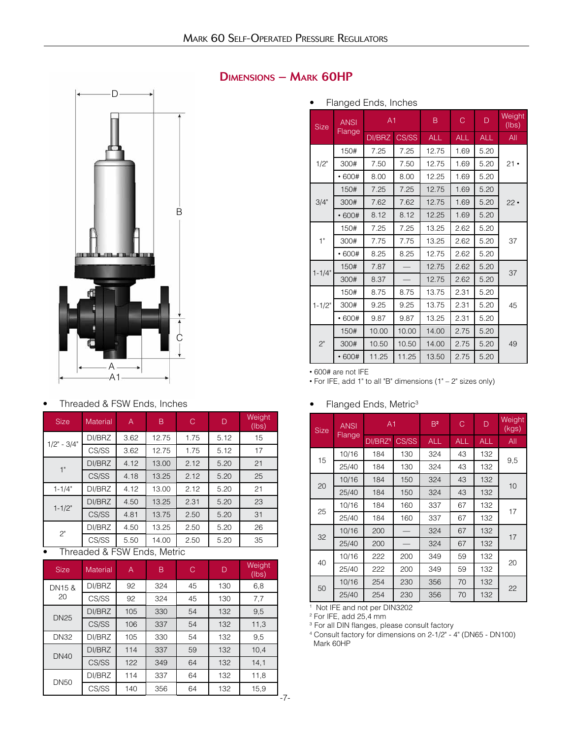

#### Dimensions – Mark 60HP

#### • Flanged Ends, Inches

| <b>Size</b> | <b>ANSI</b> | A <sub>1</sub> |       | B          | $\mathcal{C}$ | D          | Weight<br>(lbs) |
|-------------|-------------|----------------|-------|------------|---------------|------------|-----------------|
|             | Flange      | DI/BRZ         | CS/SS | <b>ALL</b> | <b>ALL</b>    | <b>ALL</b> | All             |
|             | 150#        | 7.25           | 7.25  | 12.75      | 1.69          | 5.20       |                 |
| 1/2"        | 300#        | 7.50           | 7.50  | 12.75      | 1.69          | 5.20       | $21 \cdot$      |
|             | • 600#      | 8.00           | 8.00  | 12.25      | 1.69          | 5.20       |                 |
|             | 150#        | 7.25           | 7.25  | 12.75      | 1.69          | 5.20       |                 |
| 3/4"        | 300#        | 7.62           | 7.62  | 12.75      | 1.69          | 5.20       | $22 \cdot$      |
|             | • 600#      | 8.12           | 8.12  | 12.25      | 1.69          | 5.20       |                 |
|             | 150#        | 7.25           | 7.25  | 13.25      | 2.62          | 5.20       |                 |
| 1"          | 300#        | 7.75           | 7.75  | 13.25      | 2.62          | 5.20       | 37              |
|             | • 600#      | 8.25           | 8.25  | 12.75      | 2.62          | 5.20       |                 |
| $1 - 1/4"$  | 150#        | 7.87           |       | 12.75      | 2.62          | 5.20       | 37              |
|             | 300#        | 8.37           |       | 12.75      | 2.62          | 5.20       |                 |
|             | 150#        | 8.75           | 8.75  | 13.75      | 2.31          | 5.20       |                 |
| $1 - 1/2"$  | 300#        | 9.25           | 9.25  | 13.75      | 2.31          | 5.20       | 45              |
|             | • 600#      | 9.87           | 9.87  | 13.25      | 2.31          | 5.20       |                 |
|             | 150#        | 10.00          | 10.00 | 14.00      | 2.75          | 5.20       |                 |
| 2"          | 300#        | 10.50          | 10.50 | 14.00      | 2.75          | 5.20       | 49              |
|             | • 600#      | 11.25          | 11.25 | 13.50      | 2.75          | 5.20       |                 |

• 600# are not IFE

• For IFE, add 1" to all "B" dimensions (1" – 2" sizes only)

#### • Flanged Ends, Metric<sup>3</sup>

| <b>Size</b> | <b>ANSI</b> | A <sub>1</sub>      |       | B <sup>2</sup> | C          | D          | Weight<br>(kgs) |
|-------------|-------------|---------------------|-------|----------------|------------|------------|-----------------|
|             | Flange      | DI/BRZ <sup>1</sup> | CS/SS | <b>ALL</b>     | <b>ALL</b> | <b>ALL</b> | All             |
| 15          | 10/16       | 184                 | 130   | 324            | 43         | 132        |                 |
|             | 25/40       | 184                 | 130   | 324            | 43         | 132        | 9,5             |
| 20          | 10/16       | 184                 | 150   | 324            | 43         | 132        | 10              |
|             | 25/40       | 184                 | 150   | 324            | 43         | 132        |                 |
| 25          | 10/16       | 184                 | 160   | 337            | 67         | 132        | 17              |
|             | 25/40       | 184                 | 160   | 337            | 67         | 132        |                 |
| 32          | 10/16       | 200                 |       | 324            | 67         | 132        | 17              |
|             | 25/40       | 200                 |       | 324            | 67         | 132        |                 |
| 40          | 10/16       | 222                 | 200   | 349            | 59         | 132        | 20              |
|             | 25/40       | 222                 | 200   | 349            | 59         | 132        |                 |
| 50          | 10/16       | 254                 | 230   | 356            | 70         | 132        | 22              |
|             | 25/40       | 254                 | 230   | 356            | 70         | 132        |                 |

1 Not IFE and not per DIN3202

2 For IFE, add 25,4 mm

3 For all DIN flanges, please consult factory 4 Consult factory for dimensions on 2-1/2" - 4" (DN65 - DN100) Mark 60HP

#### • Threaded & FSW Ends, Inches

| <b>Size</b>       | <b>Material</b> | A                     | B                     | C    | D    | Weight<br>(lbs) |
|-------------------|-----------------|-----------------------|-----------------------|------|------|-----------------|
| $1/2$ " - $3/4$ " | DI/BRZ          | 3.62<br>1.75<br>12.75 |                       |      | 5.12 | 15              |
|                   | CS/SS           | 3.62<br>12.75         |                       | 1.75 | 5.12 | 17              |
| 1"                | DI/BRZ          | 4.12                  | 2.12<br>5.20<br>13.00 |      |      | 21              |
|                   | CS/SS           | 4.18                  | 13.25                 | 2.12 | 5.20 | 25              |
| $1 - 1/4"$        | DI/BRZ          | 4.12                  | 13.00                 | 2.12 | 5.20 | 21              |
| $1 - 1/2"$        | DI/BRZ          | 4.50                  | 13.25                 | 2.31 | 5.20 | 23              |
|                   | CS/SS           | 4.81                  | 13.75                 | 2.50 | 5.20 | 31              |
| 2"                | DI/BRZ          | 4.50                  | 13.25                 | 2.50 | 5.20 | 26              |
|                   | CS/SS           | 5.50                  | 14.00                 | 2.50 | 5.20 | 35              |

• Threaded & FSW Ends, Metric

| <b>Size</b> | B<br>С<br>Material<br>A |     |     |    | D   | Weight<br>(lbs) |
|-------------|-------------------------|-----|-----|----|-----|-----------------|
| DN15 &      | DI/BRZ                  | 92  | 324 | 45 | 130 | 6,8             |
| 20          | CS/SS                   | 92  | 324 | 45 | 130 | 7,7             |
| <b>DN25</b> | DI/BRZ                  | 105 | 330 | 54 | 132 | 9,5             |
|             | CS/SS                   | 106 | 337 | 54 | 132 | 11,3            |
| <b>DN32</b> | DI/BRZ                  | 105 | 330 | 54 | 132 | 9,5             |
| <b>DN40</b> | DI/BRZ                  | 114 | 337 | 59 | 132 | 10,4            |
|             | CS/SS                   | 122 | 349 | 64 | 132 | 14,1            |
| <b>DN50</b> | DI/BRZ                  | 114 | 337 | 64 | 132 | 11,8            |
|             | CS/SS                   | 140 | 356 | 64 | 132 | 15,9            |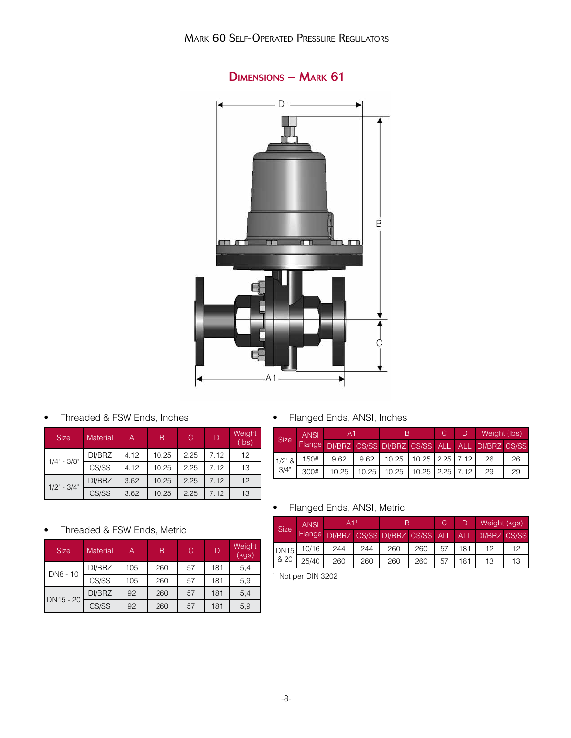

# Dimensions – Mark 61

• Threaded & FSW Ends, Inches

| <b>Size</b>       | <b>Material</b> | A    | B     | C    | D    | Weight<br>(lbs) |
|-------------------|-----------------|------|-------|------|------|-----------------|
|                   | DI/BRZ          | 4.12 | 10.25 | 2.25 | 7.12 | 12              |
| $1/4" - 3/8"$     | CS/SS           | 4.12 | 10.25 | 2.25 | 7.12 | 13              |
| $1/2$ " - $3/4$ " | DI/BRZ          | 3.62 | 10.25 | 2.25 | 7.12 | 12              |
|                   | CS/SS           | 3.62 | 10.25 | 2.25 | 7.12 | 13              |

• Flanged Ends, ANSI, Inches

| <b>ANSI</b><br><b>Size</b> |        | A1    |       |                                                |                             | C. | Weight (lbs) |    |
|----------------------------|--------|-------|-------|------------------------------------------------|-----------------------------|----|--------------|----|
|                            | Flange |       |       | DI/BRZ CS/SS DI/BRZ CS/SS ALL ALL DI/BRZ CS/SS |                             |    |              |    |
| $1/2"$ &                   | 150#   | 9.62  | 9.62  |                                                | 10.25   10.25   2.25   7.12 |    | 26           | 26 |
| 3/4"                       | 300#   | 10.25 | 10.25 | 10.25                                          | 10.25 2.25 7.12             |    | 29           | 29 |

#### • Flanged Ends, ANSI, Metric

| <b>Size</b> | <b>ANSI</b> | A T                                                   |     |     |     |    |     | Weight (kgs), |  |
|-------------|-------------|-------------------------------------------------------|-----|-----|-----|----|-----|---------------|--|
|             |             | Flange DI/BRZ CS/SS DI/BRZ CS/SS ALL ALL DI/BRZ CS/SS |     |     |     |    |     |               |  |
| <b>DN15</b> | 10/16       | 244                                                   | 244 | 260 | 260 | 57 | 181 |               |  |
| & 20        | 25/40       | 260                                                   | 260 | 260 | 260 | 57 | 181 | 13            |  |

1 Not per DIN 3202

#### • Threaded & FSW Ends, Metric

| <b>Size</b> | Material | Α   | B   | С  | D   | Weight<br>(kgs) |
|-------------|----------|-----|-----|----|-----|-----------------|
|             | DI/BRZ   | 105 | 260 | 57 | 181 | 5,4             |
| DN8 - 10    | CS/SS    | 105 | 260 | 57 | 181 | 5,9             |
| DN15 - 20   | DI/BRZ   | 92  | 260 | 57 | 181 | 5,4             |
|             | CS/SS    | 92  | 260 | 57 | 181 | 5,9             |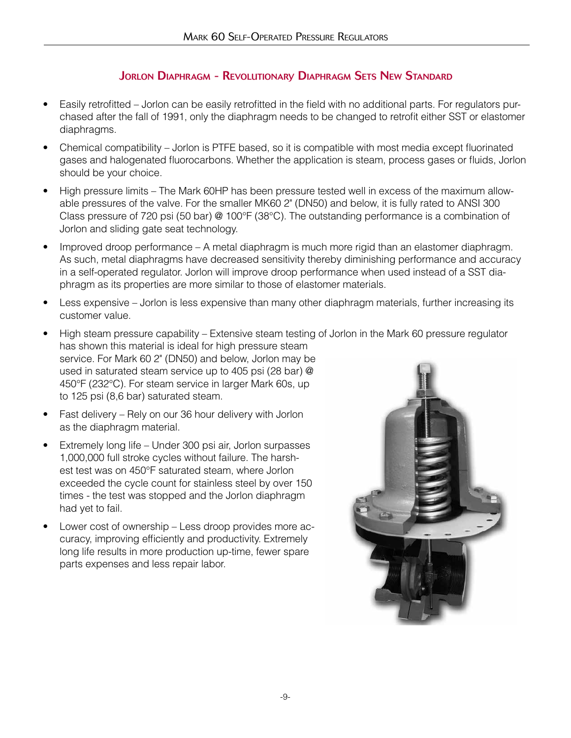# JORLON DIAPHRAGM - REVOLUTIONARY DIAPHRAGM SETS NEW STANDARD

- Easily retrofitted Jorlon can be easily retrofitted in the field with no additional parts. For regulators purchased after the fall of 1991, only the diaphragm needs to be changed to retrofit either SST or elastomer diaphragms.
- Chemical compatibility Jorlon is PTFE based, so it is compatible with most media except fluorinated gases and halogenated fluorocarbons. Whether the application is steam, process gases or fluids, Jorlon should be your choice.
- High pressure limits The Mark 60HP has been pressure tested well in excess of the maximum allowable pressures of the valve. For the smaller MK60 2" (DN50) and below, it is fully rated to ANSI 300 Class pressure of 720 psi (50 bar) @ 100°F (38°C). The outstanding performance is a combination of Jorlon and sliding gate seat technology.
- Improved droop performance A metal diaphragm is much more rigid than an elastomer diaphragm. As such, metal diaphragms have decreased sensitivity thereby diminishing performance and accuracy in a self-operated regulator. Jorlon will improve droop performance when used instead of a SST diaphragm as its properties are more similar to those of elastomer materials.
- Less expensive Jorlon is less expensive than many other diaphragm materials, further increasing its customer value.
- High steam pressure capability Extensive steam testing of Jorlon in the Mark 60 pressure regulator has shown this material is ideal for high pressure steam service. For Mark 60 2" (DN50) and below, Jorlon may be used in saturated steam service up to 405 psi (28 bar) @ 450°F (232°C). For steam service in larger Mark 60s, up to 125 psi (8,6 bar) saturated steam.
- Fast delivery Rely on our 36 hour delivery with Jorlon as the diaphragm material.
- Extremely long life Under 300 psi air, Jorlon surpasses 1,000,000 full stroke cycles without failure. The harshest test was on 450°F saturated steam, where Jorlon exceeded the cycle count for stainless steel by over 150 times - the test was stopped and the Jorlon diaphragm had yet to fail.
- Lower cost of ownership Less droop provides more accuracy, improving efficiently and productivity. Extremely long life results in more production up-time, fewer spare parts expenses and less repair labor.

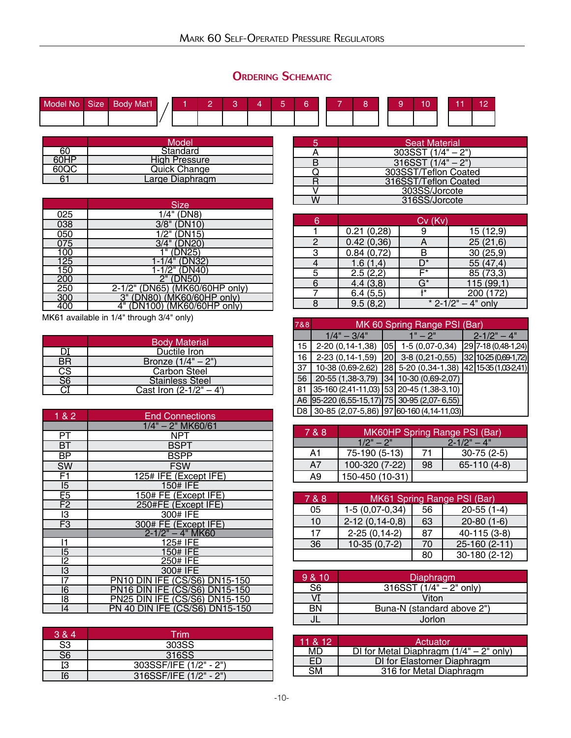# **ORDERING SCHEMATIC**

| Model No. | Size | <b>Body Mat'l</b> |  |  |  | $\overline{\phantom{a}}$ | _ |  |  |  | $\overline{10}$ |
|-----------|------|-------------------|--|--|--|--------------------------|---|--|--|--|-----------------|
|           |      |                   |  |  |  |                          |   |  |  |  |                 |

|      | Model                |
|------|----------------------|
| 60   | Standard             |
| 60HP | <b>High Pressure</b> |
| 60QC | <b>Quick Change</b>  |
|      | Large Diaphragm      |

|     | <b>Size</b>                    |
|-----|--------------------------------|
| 025 | 1/4" (DN8)                     |
| 038 | 3/8" (DN10)                    |
| 050 | 1/2" (DN15)                    |
| 075 | 3/4" (DN20)                    |
| 100 | (DN25)                         |
| 125 | 1-1/4" (DN32)                  |
| 150 | 1-1/2" (DN40)                  |
| 200 | 2" (DN50)                      |
| 250 | 2-1/2" (DN65) (MK60/60HP only) |
| 300 | 3" (DN80) (MK60/60HP only)     |
| 400 | 4" (DN100) (MK60/60HP only)    |

MK61 available in 1/4" through 3/4" only)

|                                                | <b>Body Material</b>      |
|------------------------------------------------|---------------------------|
|                                                | Ductile Iron              |
| <b>BR</b>                                      | Bronze $(1/4" - 2")$      |
| $\overline{\text{cs}}$                         | <b>Carbon Steel</b>       |
| $\bar{\bar{\mathbb{S}}}\bar{\bar{\mathbb{S}}}$ | <b>Stainless Steel</b>    |
|                                                | Cast Iron $(2-1/2^{n}-4)$ |

| 1 & 2           | <b>End Connections</b>                   |  |  |
|-----------------|------------------------------------------|--|--|
|                 | 1/4" - 2" MK60/61                        |  |  |
| PT              | NPT                                      |  |  |
| BТ              | <b>BSPT</b>                              |  |  |
| <b>BP</b>       | BSPP                                     |  |  |
| SW              | <b>FSW</b>                               |  |  |
| F1              | 125# IFE (Except IFE)                    |  |  |
| $\overline{5}$  | 150# IFE                                 |  |  |
| $\overline{E5}$ | 150# FE (Except IFE)                     |  |  |
| F2              | 250#FE (Except IFE)                      |  |  |
| 13              | 300# IFE                                 |  |  |
| F <sub>3</sub>  | 300# FE (Except IFE)                     |  |  |
|                 | $2 - 1/2" - 4"$ MK60                     |  |  |
| 11              | 125# IFE                                 |  |  |
| 15              | 150# IFE                                 |  |  |
| 12              | 250# IFE                                 |  |  |
| I3              | 300# IFE                                 |  |  |
| 17              | <b>DIN IFE (CS/S6) DN15-150</b><br>PN10  |  |  |
| 16              |                                          |  |  |
| 18              | <b>DIN IFE (CS/S6) DN15-150</b><br>PN25  |  |  |
| 4               | <b>IFE (CS/S6) DN15-150</b><br>PN 40 DIN |  |  |

| 3 & 4                    | Trim                   |
|--------------------------|------------------------|
| S <sub>3</sub>           | 303SS                  |
| $\overline{\mathsf{S6}}$ | 316SS                  |
| I3                       | 303SSF/IFE (1/2" - 2") |
|                          | 316SSF/IFE (1/2" - 2") |

| <b>Seat Material</b> |
|----------------------|
| $303SST(1/4" - 2")$  |
| $316SST(1/4" - 2")$  |
| 303SST/Teflon Coated |
| 316SST/Teflon Coated |
| 303SS/Jorcote        |
| 316SS/Jorcote        |

| 6 |            | Cv (Kv) |                        |
|---|------------|---------|------------------------|
|   | 0.21(0,28) | 9       | 15(12,9)               |
|   | 0.42(0,36) | Α       | 25(21,6)               |
|   | 0.84(0.72) |         | 30(25,9)               |
|   | 1.6(1,4)   | D*      | 55 (47,4)              |
| 5 | 2.5(2,2)   | F*      | 85 (73,3)              |
| 6 | 4.4(3,8)   | G*      | 115(99,1)              |
|   | 6.4(5,5)   | $+*$    | 200 (172)              |
|   | 9.5(8,2)   |         | * $2 - 1/2" - 4"$ only |

| 7&8            | MK 60 Spring Range PSI (Bar)                |      |                          |  |                      |
|----------------|---------------------------------------------|------|--------------------------|--|----------------------|
|                | $1/4" - 3/4"$                               |      | $1" - 2"$                |  | $2 - 1/2" - 4"$      |
| 15             | 2-20 (0,14-1,38)                            | 1051 | $1-5(0,07-0,34)$         |  | 29 7-18 (0,48-1,24)  |
| 16             | 2-23 (0,14-1,59)                            | 20'  | $3-8(0,21-0,55)$         |  | 32 10-25 (0,69-1,72) |
| 37             | 10-38 (0,69-2,62)                           |      | 28 5-20 (0,34-1,38)      |  | 42 15-35 (1,03-2,41) |
| 56             | 20-55 (1,38-3,79)                           |      | $ 34 $ 10-30 (0,69-2,07) |  |                      |
| 81             | 35-160 (2,41-11,03) 53 20-45 (1,38-3,10)    |      |                          |  |                      |
| A <sub>6</sub> | $[95-220(6,55-15,17)]$ 75 30-95 (2,07-6,55) |      |                          |  |                      |
| D <sub>8</sub> | 30-85 (2,07-5,86) [97 60-160 (4,14-11,03)]  |      |                          |  |                      |

| 7 & 8 | MK60HP Spring Range PSI (Bar)  |    |                  |
|-------|--------------------------------|----|------------------|
|       | $2 - 1/2" - 4"$<br>$1/2" - 2"$ |    |                  |
| A1    | 75-190 (5-13)                  | 71 | $30 - 75(2 - 5)$ |
| A7    | 100-320 (7-22)                 | 98 | 65-110 (4-8)     |
| А9    | 150-450 (10-31)                |    |                  |

| 7 & 8 | MK61 Spring Range PSI (Bar) |    |               |  |
|-------|-----------------------------|----|---------------|--|
| 05    | $1-5(0,07-0,34)$            | 56 | $20-55(1-4)$  |  |
| 10    | $2-12(0, 14-0, 8)$          | 63 | $20-80(1-6)$  |  |
| 17    | $2-25(0, 14-2)$             | 87 | 40-115 (3-8)  |  |
| 36    | $10-35(0,7-2)$              | 70 | 25-160 (2-11) |  |
|       |                             | 80 | 30-180 (2-12) |  |

| 9 & 10 | Diaphragm                  |
|--------|----------------------------|
| S6     | $316SST (1/4" - 2" only)$  |
|        | Viton                      |
| RN     | Buna-N (standard above 2") |
|        | Jorlon                     |

| 11 & 12 | Actuator                                  |  |  |
|---------|-------------------------------------------|--|--|
| MD      | DI for Metal Diaphragm $(1/4" - 2"$ only) |  |  |
| FD      | DI for Elastomer Diaphragm                |  |  |
| 984     | 316 for Metal Diaphragm                   |  |  |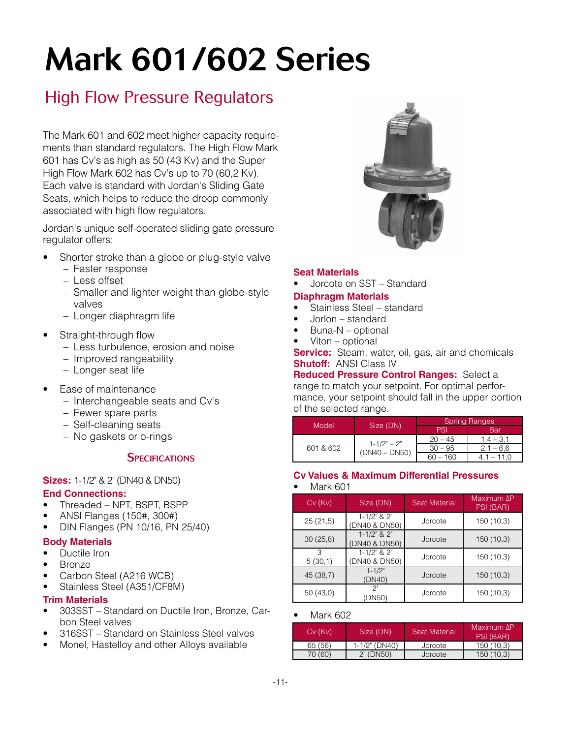# Mark 601/602 Series

# High Flow Pressure Regulators

The Mark 601 and 602 meet higher capacity requirements than standard regulators. The High Flow Mark 601 has Cv's as high as 50 (43 Kv) and the Super High Flow Mark 602 has Cv's up to 70 (60,2 Kv). Each valve is standard with Jordan's Sliding Gate Seats, which helps to reduce the droop commonly associated with high flow regulators.

Jordan's unique self-operated sliding gate pressure regulator offers:

- Shorter stroke than a globe or plug-style valve
	- Faster response
	- Less offset
	- Smaller and lighter weight than globe-style valves
	- Longer diaphragm life
- Straight-through flow
	- Less turbulence, erosion and noise
	- Improved rangeability
	- Longer seat life
- Ease of maintenance
	- Interchangeable seats and Cv's
	- Fewer spare parts
	- Self-cleaning seats
	- No gaskets or o-rings

#### **SPECIFICATIONS**

#### **Sizes:** 1-1/2" & 2" (DN40 & DN50)

#### **End Connections:**

- Threaded NPT, BSPT, BSPP
- ANSI Flanges (150#, 300#)
- DIN Flanges (PN 10/16, PN 25/40)

#### **Body Materials**

- Ductile Iron
- **Bronze**
- Carbon Steel (A216 WCB)
- Stainless Steel (A351/CF8M)

#### **Trim Materials**

- 303SST Standard on Ductile Iron, Bronze, Carbon Steel valves
- 316SST Standard on Stainless Steel valves
- Monel, Hastelloy and other Alloys available



#### **Seat Materials**

• Jorcote on SST – Standard

#### **Diaphragm Materials**

- Stainless Steel standard
- Jorlon standard
- Buna-N optional
- Viton optional

**Service:** Steam, water, oil, gas, air and chemicals **Shutoff:** ANSI Class IV

**Reduced Pressure Control Ranges:** Select a range to match your setpoint. For optimal performance, your setpoint should fall in the upper portion of the selected range.

| Model     |                 | <b>Spring Ranges</b> |             |  |
|-----------|-----------------|----------------------|-------------|--|
|           | Size (DN)       | PSI                  | Bar         |  |
|           | $1 - 1/2" - 2"$ | $20 - 45$            | $1.4 - 3.1$ |  |
| 601 & 602 | $(DN40 - DN50)$ | $30 - 95$            | $2.1 - 6.6$ |  |
|           |                 | $60 - 160$           |             |  |

#### **Cv Values & Maximum Differential Pressures**

#### • Mark 601

| $Cv$ ( $Kv$ ) | Size (DN)                            | <b>Seat Material</b> | Maximum ΔP<br>PSI (BAR) |
|---------------|--------------------------------------|----------------------|-------------------------|
| 25(21,5)      | $1 - 1/2$ " & $2$ "<br>(DN40 & DN50) | Jorcote              | 150 (10,3)              |
| 30(25,8)      | $1 - 1/2$ " & $2$ "<br>(DN40 & DN50) | Jorcote              | 150(10,3)               |
| З<br>5(30,1)  | $1 - 1/2$ " & $2$ "<br>(DN40 & DN50) | Jorcote              | 150(10,3)               |
| 45 (38,7)     | $1 - 1/2"$<br>(DN40)                 | Jorcote              | 150(10,3)               |
| 50(43,0)      | 2"<br><b>DN50)</b>                   | Jorcote              | 150 (10,3)              |

#### • Mark 602

| Cv (Kv) | Size (DN)     | <b>Seat Material</b> | Maximum AP<br>PSI (BAR) |
|---------|---------------|----------------------|-------------------------|
| 65 (56) | 1-1/2" (DN40) | Jorcote              | 150 (10.3)              |
| 70 (60) | $2"$ (DN50)   | Jorcote              | 150 (10.3)              |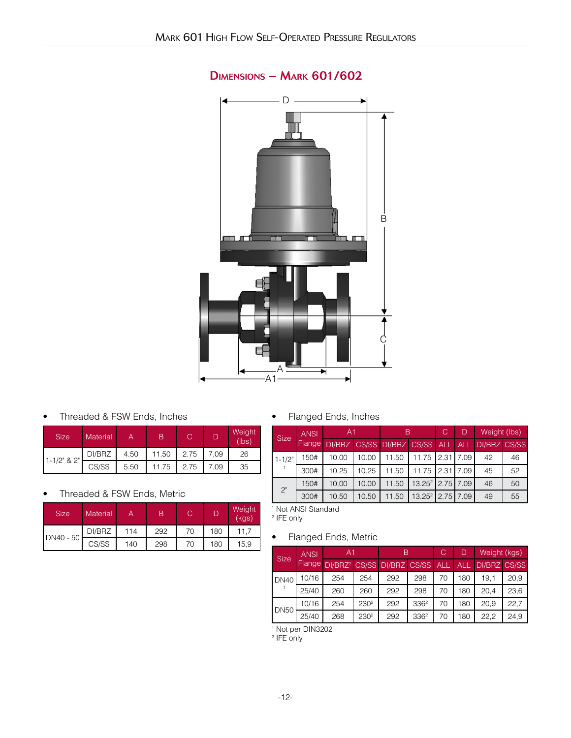

# Dimensions – Mark 601/602

• Threaded & FSW Ends, Inches

| <b>Size</b> | <b>Material</b> |      | В     | С    |      | Weight<br>(lbs) |
|-------------|-----------------|------|-------|------|------|-----------------|
| 1-1/2" & 2" | DI/BRZ          | 4.50 | 11.50 | 2.75 | 7.09 | 26              |
|             | CS/SS           | 5.50 | 11.75 | 2.75 | 7.09 | 35              |

#### • Threaded & FSW Ends, Metric

| <b>Size</b> | Material |     |     |    |     | Weight<br>(kgs) |
|-------------|----------|-----|-----|----|-----|-----------------|
| DN40 - 50   | DI/BRZ   | 114 | 292 | 70 | 180 | 11.7            |
|             | CS/SS    | 140 | 298 | 70 | 180 | 15.9            |

• Flanged Ends, Inches

| <b>Size</b> | <b>ANSI</b> | A <sub>1</sub> |       |                               | С                  | D        | Weight (lbs) |                     |    |
|-------------|-------------|----------------|-------|-------------------------------|--------------------|----------|--------------|---------------------|----|
|             | Flange      |                |       | DI/BRZ CS/SS DI/BRZ CS/SS ALL |                    |          | <b>ALL</b>   | <b>DI/BRZ CS/SS</b> |    |
| $1 - 1/2"$  | 150#        | 10.00          | 10.00 | 11.50                         | 11.75              | 12.31    | 7.09         | 42                  | 46 |
|             | 300#        | 10.25          | 10.25 | 11.50                         | 11.75              | I 2.31 I | 7.09         | 45                  | 52 |
| 2"          | 150#        | 10.00          | 10.00 | 11.50                         | $13.25^2$          | 2.75     | 7.09         | 46                  | 50 |
|             | 300#        | 10.50          | 10.50 | 11.50                         | 13.25 <sup>2</sup> | 2.75     | 7.09         | 49                  | 55 |

1 Not ANSI Standard 2 IFE only

### • Flanged Ends, Metric

| <b>Size</b> | <b>ANSI</b>   | A <sub>1</sub>                         |                  | B   |                  | С          | D          | Weight (kgs)        |      |
|-------------|---------------|----------------------------------------|------------------|-----|------------------|------------|------------|---------------------|------|
|             | <b>Flange</b> | DI/BRZ <sup>2</sup> CS/SS DI/BRZ CS/SS |                  |     |                  | <b>ALL</b> | <b>ALL</b> | <b>DI/BRZ CS/SS</b> |      |
| <b>DN40</b> | 10/16         | 254                                    | 254              | 292 | 298              | 70         | 180        | 19.1                | 20.9 |
|             | 25/40         | 260                                    | 260              | 292 | 298              | 70         | 180        | 20.4                | 23,6 |
| <b>DN50</b> | 10/16         | 254                                    | 230 <sup>2</sup> | 292 | 336 <sup>2</sup> | 70         | 180        | 20.9                | 22.7 |
|             | 25/40         | 268                                    | 230 <sup>2</sup> | 292 | 336 <sup>2</sup> | 70         | 180        | 22.2                | 24,9 |

1 Not per DIN3202

2 IFE only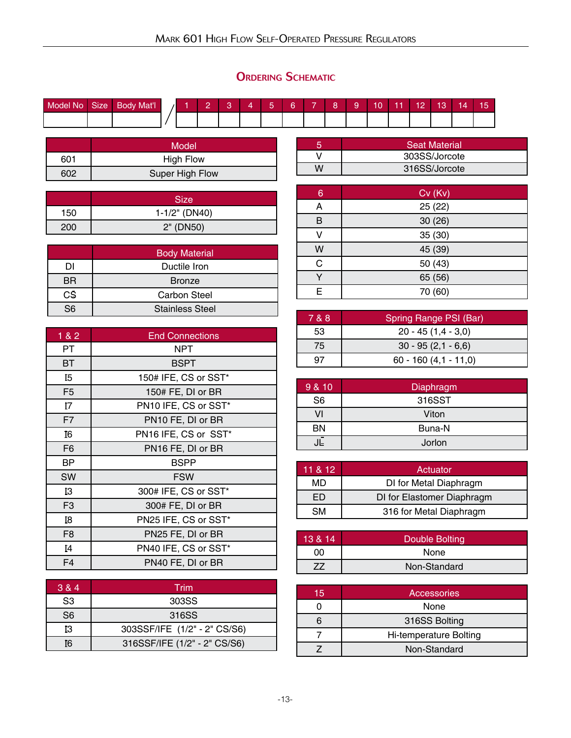# ORDERING SCHEMATIC

| Model No | <b>Size</b> | <b>Body Mat'l</b> |  |  | - | ∽ | - |  | $\sim$ | $\overline{\phantom{a}}$<br>. . | $\overline{a}$ | z |  |
|----------|-------------|-------------------|--|--|---|---|---|--|--------|---------------------------------|----------------|---|--|
|          |             |                   |  |  |   |   |   |  |        |                                 |                |   |  |

|     | Model            |
|-----|------------------|
| 601 | <b>High Flow</b> |
| 602 | Super High Flow  |

|     | <b>Size</b>   |
|-----|---------------|
| 150 | 1-1/2" (DN40) |
| 200 | 2" (DN50)     |

|    | <b>Body Material</b>   |
|----|------------------------|
| DI | Ductile Iron           |
| BR | <b>Bronze</b>          |
| CŜ | Carbon Steel           |
| こに | <b>Stainless Steel</b> |

| 1&82           | <b>End Connections</b> |
|----------------|------------------------|
| PT             | NPT                    |
| BT             | <b>BSPT</b>            |
| I5             | 150# IFE, CS or SST*   |
| F <sub>5</sub> | 150# FE, DI or BR      |
| Ι7             | PN10 IFE, CS or SST*   |
| F7             | PN10 FE, DI or BR      |
| I6             | PN16 IFE, CS or SST*   |
| F <sub>6</sub> | PN16 FE, DI or BR      |
| ВP             | <b>BSPP</b>            |
| <b>SW</b>      | <b>FSW</b>             |
| IЗ             | 300# IFE, CS or SST*   |
| F <sub>3</sub> | 300# FE, DI or BR      |
| I8             | PN25 IFE, CS or SST*   |
| F <sub>8</sub> | PN25 FE, DI or BR      |
| [4]            | PN40 IFE, CS or SST*   |
| F <sub>4</sub> | PN40 FE, DI or BR      |

| 3 & 4          | Trim                         |
|----------------|------------------------------|
| S3             | 303SS                        |
| S <sub>6</sub> | 316SS                        |
| ĪЗ             | 303SSF/IFE (1/2" - 2" CS/S6) |
| TR.            | 316SSF/IFE (1/2" - 2" CS/S6) |

| <b>Seat Material</b> |
|----------------------|
| 303SS/Jorcote        |
| 316SS/Jorcote        |

| 6 | $Cv$ (Kv) |
|---|-----------|
| А | 25(22)    |
| в | 30(26)    |
|   | 35 (30)   |
| W | 45 (39)   |
| C | 50 (43)   |
|   | 65 (56)   |
| F | 70 (60)   |

| 7 & 8 | Spring Range PSI (Bar)   |
|-------|--------------------------|
| 53    | $20 - 45(1, 4 - 3, 0)$   |
| 75    | $30 - 95(2, 1 - 6, 6)$   |
|       | $60 - 160(4, 1 - 11, 0)$ |

| 9 & 10         | Diaphragm |
|----------------|-----------|
| S <sub>6</sub> | 316SST    |
|                | Viton     |
| BN             | Buna-N    |
| JĒ             | Jorlon    |

| 11 & 12 | Actuator                   |
|---------|----------------------------|
| MD      | DI for Metal Diaphragm     |
| l I     | DI for Elastomer Diaphragm |
| SМ      | 316 for Metal Diaphragm    |

| 13 & 14 | Double Bolting |
|---------|----------------|
| იი      | None           |
|         | Non-Standard   |

| 15 | <b>Accessories</b>     |
|----|------------------------|
|    | None                   |
|    | 316SS Bolting          |
|    | Hi-temperature Bolting |
|    | Non-Standard           |